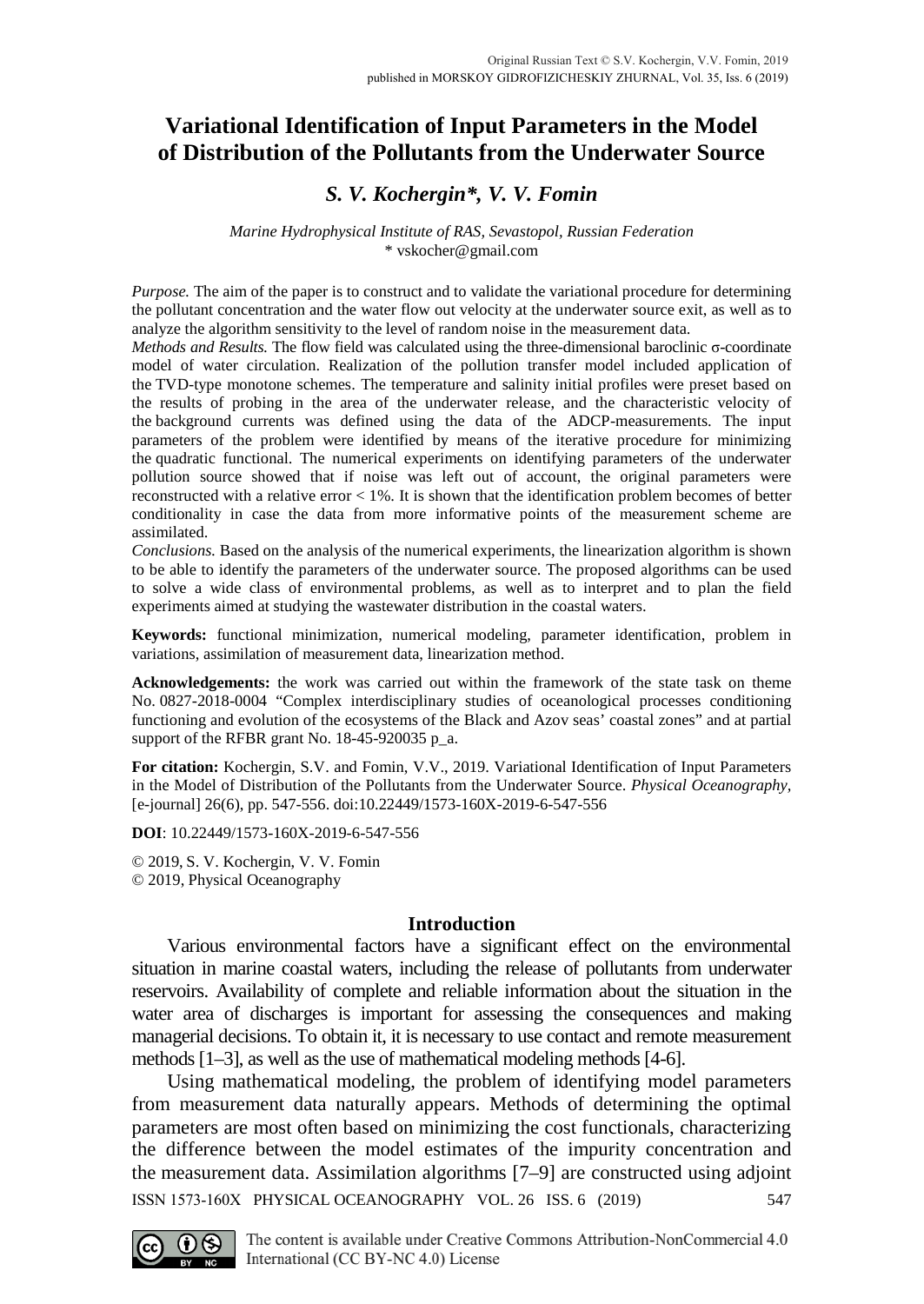# **Variational Identification of Input Parameters in the Model of Distribution of the Pollutants from the Underwater Source**

# *S. V. Kochergin\*, V. V. Fomin*

### *Marine Hydrophysical Institute of RAS, Sevastopol, Russian Federation* \* [vskocher@gmail.com](mailto:vskocher@gmail.com)

*Purpose.* The aim of the paper is to construct and to validate the variational procedure for determining the pollutant concentration and the water flow out velocity at the underwater source exit, as well as to analyze the algorithm sensitivity to the level of random noise in the measurement data.

*Methods and Results.* The flow field was calculated using the three-dimensional baroclinic σ-coordinate model of water circulation. Realization of the pollution transfer model included application of the TVD-type monotone schemes. The temperature and salinity initial profiles were preset based on the results of probing in the area of the underwater release, and the characteristic velocity of the background currents was defined using the data of the ADCP-measurements. The input parameters of the problem were identified by means of the iterative procedure for minimizing the quadratic functional. The numerical experiments on identifying parameters of the underwater pollution source showed that if noise was left out of account, the original parameters were reconstructed with a relative error < 1%. It is shown that the identification problem becomes of better conditionality in case the data from more informative points of the measurement scheme are assimilated.

*Conclusions.* Based on the analysis of the numerical experiments, the linearization algorithm is shown to be able to identify the parameters of the underwater source. The proposed algorithms can be used to solve a wide class of environmental problems, as well as to interpret and to plan the field experiments aimed at studying the wastewater distribution in the coastal waters.

**Keywords:** functional minimization, numerical modeling, parameter identification, problem in variations, assimilation of measurement data, linearization method.

**Acknowledgements:** the work was carried out within the framework of the state task on theme No. 0827-2018-0004 "Complex interdisciplinary studies of oceanological processes conditioning functioning and evolution of the ecosystems of the Black and Azov seas' coastal zones" and at partial support of the RFBR grant No. 18-45-920035 p\_a.

**For citation:** Kochergin, S.V. and Fomin, V.V., 2019. Variational Identification of Input Parameters in the Model of Distribution of the Pollutants from the Underwater Source. *Physical Oceanography,* [e-journal] 26(6), pp. 547-556. doi:10.22449/1573-160X-2019-6-547-556

**DOI**: 10.22449/1573-160X-2019-6-547-556

© 2019, S. V. Kochergin, V. V. Fomin © 2019, Physical Oceanography

# **Introduction**

Various environmental factors have a significant effect on the environmental situation in marine coastal waters, including the release of pollutants from underwater reservoirs. Availability of complete and reliable information about the situation in the water area of discharges is important for assessing the consequences and making managerial decisions. To obtain it, it is necessary to use contact and remote measurement methods [1–3], as well as the use of mathematical modeling methods [4-6].

Using mathematical modeling, the problem of identifying model parameters from measurement data naturally appears. Methods of determining the optimal parameters are most often based on minimizing the cost functionals, characterizing the difference between the model estimates of the impurity concentration and the measurement data. Assimilation algorithms [7–9] are constructed using adjoint ISSN 1573-160X PHYSICAL OCEANOGRAPHY VOL. 26 ISS. 6 (2019) 547

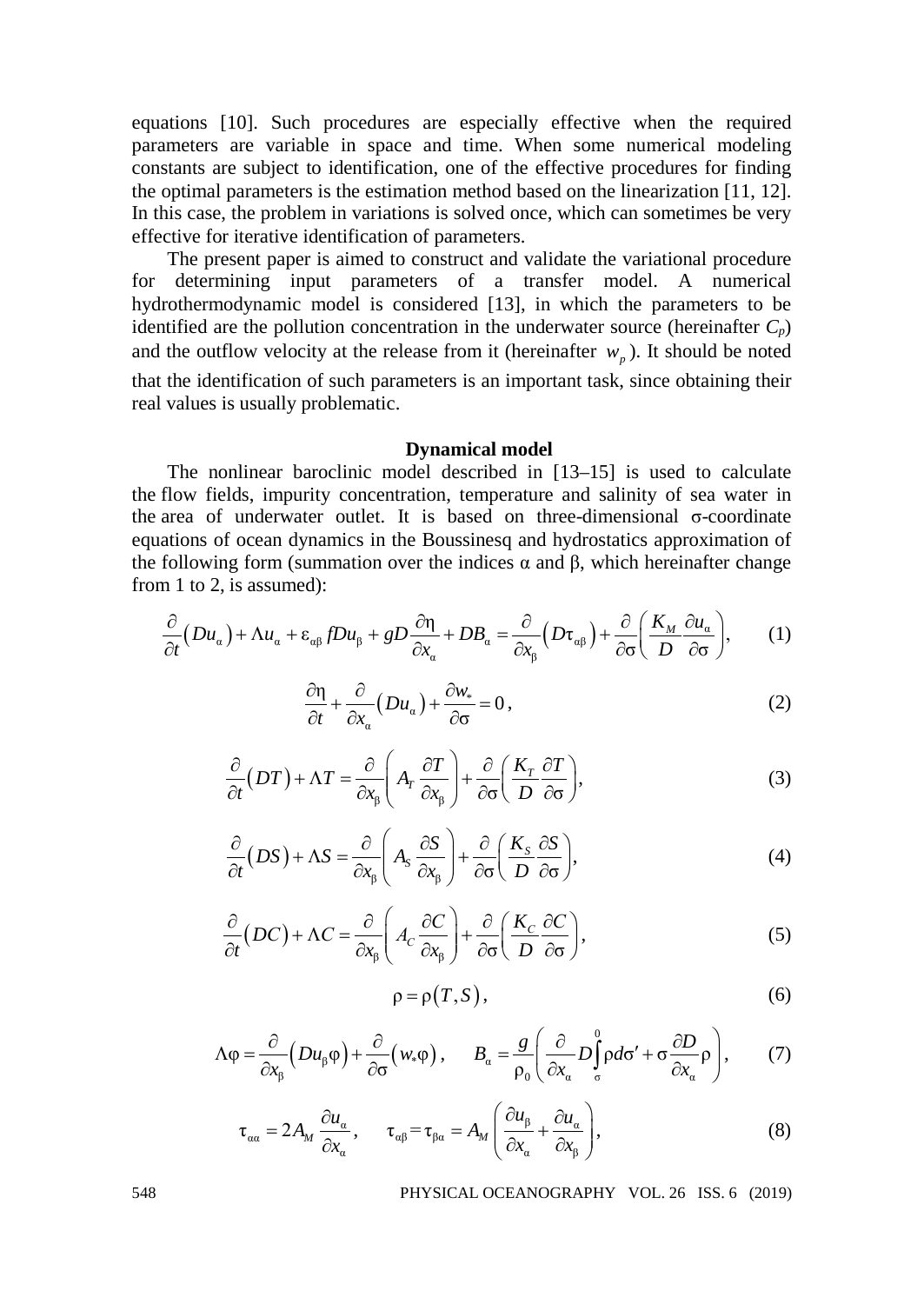equations [10]. Such procedures are especially effective when the required parameters are variable in space and time. When some numerical modeling constants are subject to identification, one of the effective procedures for finding the optimal parameters is the estimation method based on the linearization [11, 12]. In this case, the problem in variations is solved once, which can sometimes be very effective for iterative identification of parameters.

The present paper is aimed to construct and validate the variational procedure for determining input parameters of a transfer model. A numerical hydrothermodynamic model is considered [13], in which the parameters to be identified are the pollution concentration in the underwater source (hereinafter  $C_p$ ) and the outflow velocity at the release from it (hereinafter  $w<sub>n</sub>$ ). It should be noted that the identification of such parameters is an important task, since obtaining their real values is usually problematic.

### **Dynamical model**

The nonlinear baroclinic model described in [13–15] is used to calculate the flow fields, impurity concentration, temperature and salinity of sea water in the area of underwater outlet. It is based on three-dimensional σ-coordinate equations of ocean dynamics in the Boussinesq and hydrostatics approximation of the following form (summation over the indices  $\alpha$  and  $\beta$ , which hereinafter change from 1 to 2, is assumed):

$$
\frac{\partial}{\partial t}(Du_{\alpha}) + \Lambda u_{\alpha} + \varepsilon_{\alpha\beta} f Du_{\beta} + g D \frac{\partial \eta}{\partial x_{\alpha}} + DB_{\alpha} = \frac{\partial}{\partial x_{\beta}} \Big( D\tau_{\alpha\beta} \Big) + \frac{\partial}{\partial \sigma} \Big( \frac{K_M}{D} \frac{\partial u_{\alpha}}{\partial \sigma} \Big), \tag{1}
$$

$$
\frac{\partial \eta}{\partial t} + \frac{\partial}{\partial x_{\alpha}} \left( Du_{\alpha} \right) + \frac{\partial w_{*}}{\partial \sigma} = 0, \qquad (2)
$$

$$
\frac{\partial}{\partial t}(DT) + \Lambda T = \frac{\partial}{\partial x_{\beta}} \left( A_{T} \frac{\partial T}{\partial x_{\beta}} \right) + \frac{\partial}{\partial \sigma} \left( \frac{K_{T}}{D} \frac{\partial T}{\partial \sigma} \right),\tag{3}
$$

$$
\frac{\partial}{\partial t}(DS) + \Delta S = \frac{\partial}{\partial x_{\beta}} \left( A_{S} \frac{\partial S}{\partial x_{\beta}} \right) + \frac{\partial}{\partial \sigma} \left( \frac{K_{S}}{D} \frac{\partial S}{\partial \sigma} \right),\tag{4}
$$

$$
\frac{\partial}{\partial t}(DC) + \Lambda C = \frac{\partial}{\partial x_{\beta}} \left( A_C \frac{\partial C}{\partial x_{\beta}} \right) + \frac{\partial}{\partial \sigma} \left( \frac{K_C}{D} \frac{\partial C}{\partial \sigma} \right),\tag{5}
$$

$$
\rho = \rho(T, S),\tag{6}
$$

$$
\Lambda \varphi = \frac{\partial}{\partial x_{\beta}} \Big( Du_{\beta} \varphi \Big) + \frac{\partial}{\partial \sigma} \Big( w_{*} \varphi \Big) , \qquad B_{\alpha} = \frac{g}{\rho_{0}} \Bigg( \frac{\partial}{\partial x_{\alpha}} D_{\sigma}^{0} \rho d\sigma' + \sigma \frac{\partial D}{\partial x_{\alpha}} \rho \Bigg) , \tag{7}
$$

$$
\tau_{\alpha\alpha} = 2A_M \frac{\partial u_{\alpha}}{\partial x_{\alpha}}, \qquad \tau_{\alpha\beta} = \tau_{\beta\alpha} = A_M \left( \frac{\partial u_{\beta}}{\partial x_{\alpha}} + \frac{\partial u_{\alpha}}{\partial x_{\beta}} \right),
$$
(8)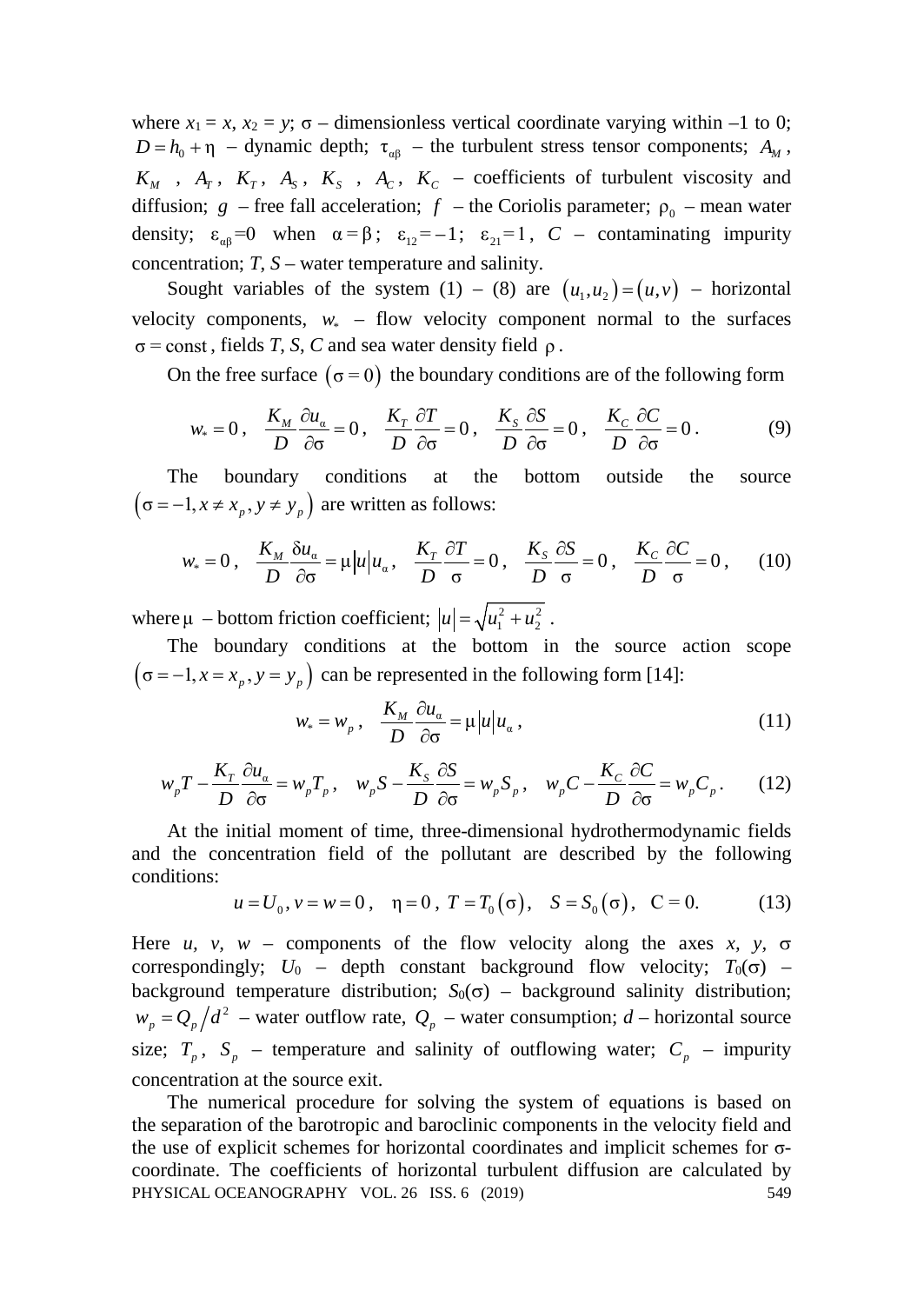where  $x_1 = x$ ,  $x_2 = y$ ;  $\sigma$  – dimensionless vertical coordinate varying within –1 to 0;  $D = h_0 + \eta$  – dynamic depth;  $\tau_{\alpha\beta}$  – the turbulent stress tensor components;  $A_M$ ,  $K_M$ ,  $A_T$ ,  $K_T$ ,  $A_S$ ,  $K_S$ ,  $A_C$ ,  $K_C$  – coefficients of turbulent viscosity and diffusion;  $g$  – free fall acceleration;  $f$  – the Coriolis parameter;  $\rho_0$  – mean water density;  $\varepsilon_{\alpha\beta} = 0$  when  $\alpha = \beta$ ;  $\varepsilon_{12} = -1$ ;  $\varepsilon_{21} = 1$ ,  $C$  – contaminating impurity concentration; *T*, *S* – water temperature and salinity.

Sought variables of the system  $(1) - (8)$  are  $(u_1, u_2) = (u, v)$  – horizontal velocity components,  $w_*$  – flow velocity component normal to the surfaces  $\sigma$  = const, fields *T*, *S*, *C* and sea water density field  $\rho$ .

On the free surface  $(\sigma = 0)$  the boundary conditions are of the following form

$$
w_* = 0, \quad \frac{K_M}{D} \frac{\partial u_\alpha}{\partial \sigma} = 0, \quad \frac{K_T}{D} \frac{\partial T}{\partial \sigma} = 0, \quad \frac{K_S}{D} \frac{\partial S}{\partial \sigma} = 0, \quad \frac{K_C}{D} \frac{\partial C}{\partial \sigma} = 0. \tag{9}
$$

The boundary conditions at the bottom outside the source  $(\sigma = -1, x \neq x_p, y \neq y_p)$  are written as follows:

$$
w_* = 0, \quad \frac{K_M}{D} \frac{\delta u_\alpha}{\partial \sigma} = \mu |u| u_\alpha, \quad \frac{K_T}{D} \frac{\partial T}{\partial \sigma} = 0, \quad \frac{K_S}{D} \frac{\partial S}{\sigma} = 0, \quad \frac{K_C}{D} \frac{\partial C}{\sigma} = 0, \quad (10)
$$

where  $\mu$  – bottom friction coefficient;  $|u| = \sqrt{u_1^2 + u_2^2}$ .

The boundary conditions at the bottom in the source action scope  $(\sigma = -1, x = x_n, y = y_n)$  can be represented in the following form [14]:

$$
w_* = w_p, \quad \frac{K_M}{D} \frac{\partial u_\alpha}{\partial \sigma} = \mu |u| u_\alpha, \tag{11}
$$

$$
w_p T - \frac{K_r}{D} \frac{\partial u_a}{\partial \sigma} = w_p T_p, \quad w_p S - \frac{K_s}{D} \frac{\partial S}{\partial \sigma} = w_p S_p, \quad w_p C - \frac{K_c}{D} \frac{\partial C}{\partial \sigma} = w_p C_p. \tag{12}
$$

At the initial moment of time, three-dimensional hydrothermodynamic fields and the concentration field of the pollutant are described by the following conditions:

$$
u = U_0
$$
,  $v = w = 0$ ,  $\eta = 0$ ,  $T = T_0(\sigma)$ ,  $S = S_0(\sigma)$ ,  $C = 0$ . (13)

Here *u, v, w* – components of the flow velocity along the axes *x, y,*  $\sigma$ correspondingly;  $U_0$  – depth constant background flow velocity;  $T_0(\sigma)$  – background temperature distribution; *S*<sub>0</sub>( $\sigma$ ) – background salinity distribution;  $w_p = Q_p/d^2$  – water outflow rate,  $Q_p$  – water consumption; *d* – horizontal source size;  $T_p$ ,  $S_p$  – temperature and salinity of outflowing water;  $C_p$  – impurity concentration at the source exit.

The numerical procedure for solving the system of equations is based on the separation of the barotropic and baroclinic components in the velocity field and the use of explicit schemes for horizontal coordinates and implicit schemes for σcoordinate. The coefficients of horizontal turbulent diffusion are calculated by PHYSICAL OCEANOGRAPHY VOL. 26 ISS. 6 (2019) 549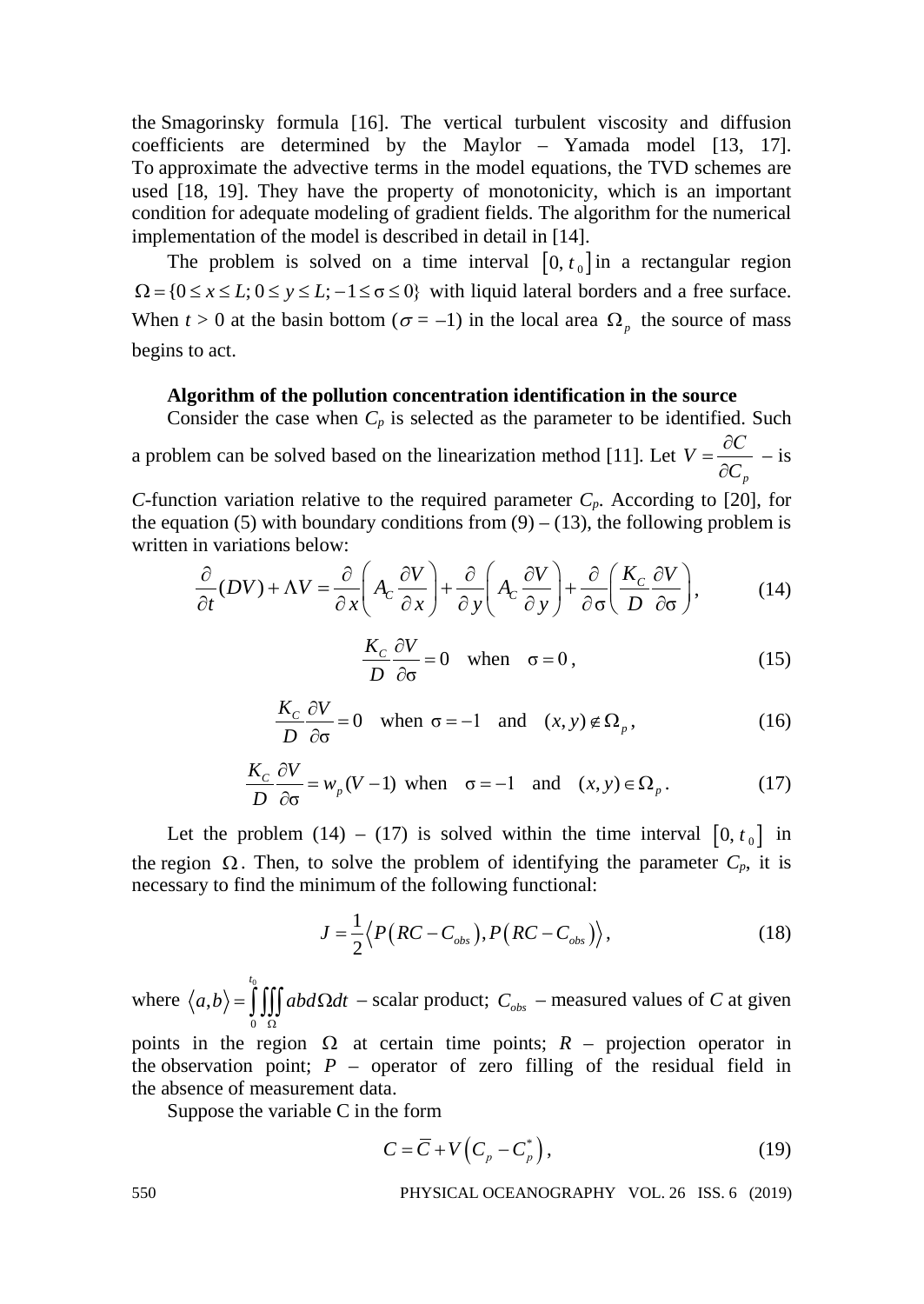the Smagorinsky formula [16]. The vertical turbulent viscosity and diffusion coefficients are determined by the Maylor – Yamada model [13, 17]. To approximate the advective terms in the model equations, the TVD schemes are used [18, 19]. They have the property of monotonicity, which is an important condition for adequate modeling of gradient fields. The algorithm for the numerical implementation of the model is described in detail in [14].

The problem is solved on a time interval  $[0, t_0]$  in a rectangular region  $\Omega = \{0 \le x \le L; 0 \le y \le L; -1 \le \sigma \le 0\}$  with liquid lateral borders and a free surface. When  $t > 0$  at the basin bottom ( $\sigma = -1$ ) in the local area  $\Omega_p$  the source of mass begins to act.

## **Algorithm of the pollution concentration identification in the source**

Consider the case when  $C_p$  is selected as the parameter to be identified. Such

a problem can be solved based on the linearization method [11]. Let *p*  $V = \frac{\partial C}{\partial G}$  $=\frac{\partial C}{\partial C_n}$  – is

*C*-function variation relative to the required parameter  $C_p$ . According to [20], for the equation (5) with boundary conditions from  $(9) - (13)$ , the following problem is written in variations below:

$$
\frac{\partial}{\partial t}(DV) + \Lambda V = \frac{\partial}{\partial x}\left(A_C \frac{\partial V}{\partial x}\right) + \frac{\partial}{\partial y}\left(A_C \frac{\partial V}{\partial y}\right) + \frac{\partial}{\partial \sigma}\left(\frac{K_C}{D} \frac{\partial V}{\partial \sigma}\right),\tag{14}
$$

$$
\frac{K_c}{D}\frac{\partial V}{\partial \sigma} = 0 \quad \text{when} \quad \sigma = 0,
$$
\n(15)

$$
\frac{K_c}{D}\frac{\partial V}{\partial \sigma} = 0 \quad \text{when } \sigma = -1 \quad \text{and} \quad (x, y) \notin \Omega_p,
$$
 (16)

$$
\frac{K_c}{D}\frac{\partial V}{\partial \sigma} = w_p(V-1) \text{ when } \sigma = -1 \text{ and } (x, y) \in \Omega_p.
$$
 (17)

Let the problem (14) – (17) is solved within the time interval  $[0, t_0]$  in the region  $\Omega$ . Then, to solve the problem of identifying the parameter  $C_p$ , it is necessary to find the minimum of the following functional:

$$
J = \frac{1}{2} \langle P\big(RC - C_{obs}\big), P\big(RC - C_{obs}\big)\rangle, \tag{18}
$$

where  $\langle a,b\rangle = \int_{0}^{b}$ 0 , *t*  $a,b\rangle = |$ ||| abd $\Omega dt$  $=\iiint_{\Omega} abd\Omega dt$  – scalar product;  $C_{obs}$  – measured values of *C* at given

points in the region  $\Omega$  at certain time points;  $R$  – projection operator in the observation point;  $P -$  operator of zero filling of the residual field in the absence of measurement data.

Suppose the variable C in the form

$$
C = \overline{C} + V\left(C_p - C_p^*\right),\tag{19}
$$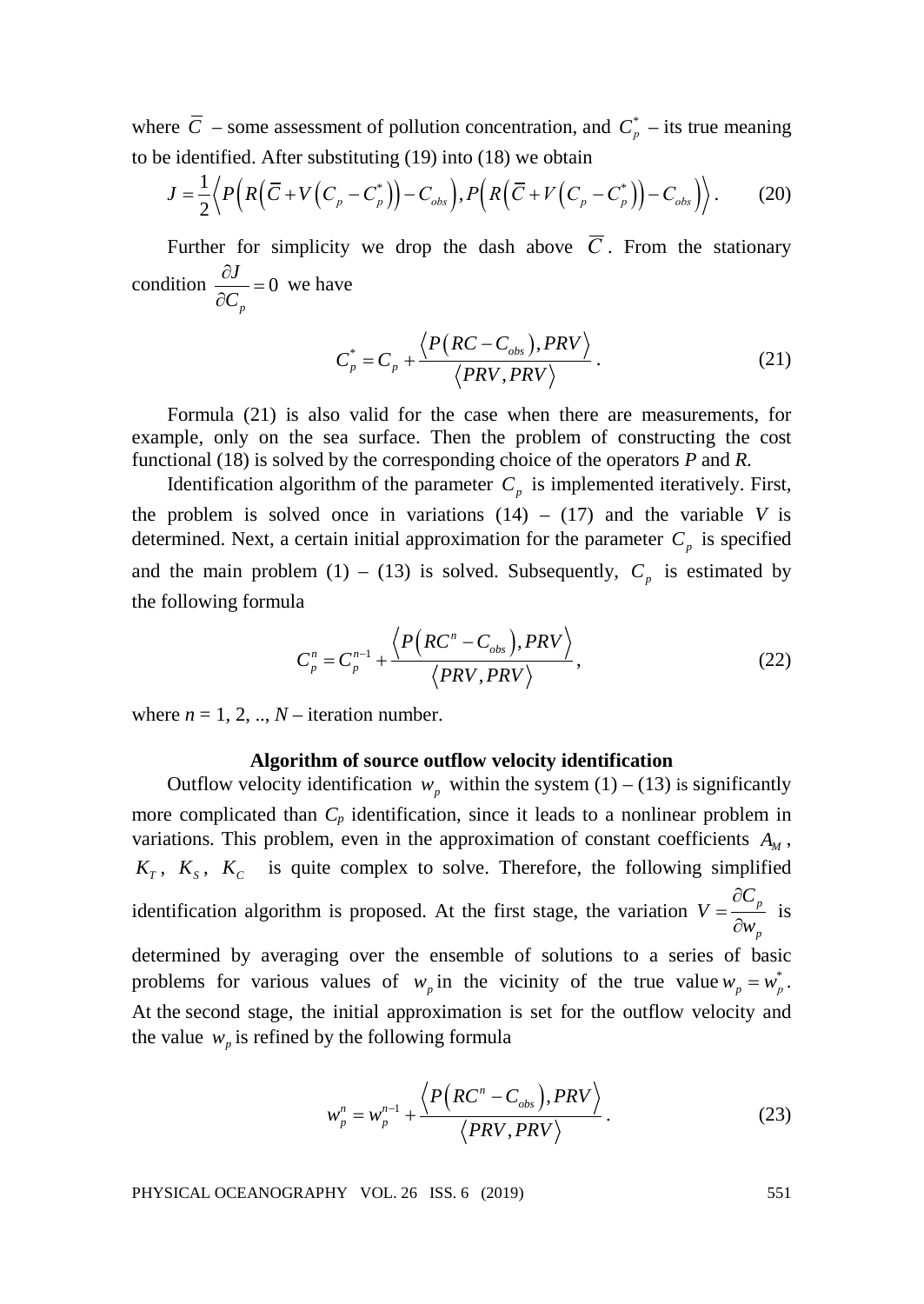where  $\overline{C}$  – some assessment of pollution concentration, and  $C_p^*$  – its true meaning to be identified. After substituting (19) into (18) we obtain

$$
J = \frac{1}{2} \langle P\Big(R\Big(\overline{C} + V\Big(C_p - C_p^*\Big)\Big) - C_{obs}\Big), P\Big(R\Big(\overline{C} + V\Big(C_p - C_p^*\Big)\Big) - C_{obs}\Big)\rangle. \tag{20}
$$

Further for simplicity we drop the dash above  $\overline{C}$ . From the stationary condition  $\frac{c}{2a} = 0$ *p J*  $\frac{\partial J}{\partial C_n} = 0$  we have

$$
C_p^* = C_p + \frac{\langle P(RC - C_{obs}), PRV \rangle}{\langle PRV, PRV \rangle}.
$$
 (21)

Formula (21) is also valid for the case when there are measurements, for example, only on the sea surface. Then the problem of constructing the cost functional (18) is solved by the corresponding choice of the operators *P* and *R*.

Identification algorithm of the parameter  $C_p$  is implemented iteratively. First, the problem is solved once in variations  $(14) - (17)$  and the variable *V* is determined. Next, a certain initial approximation for the parameter  $C_p$  is specified and the main problem (1) – (13) is solved. Subsequently,  $C_p$  is estimated by the following formula

$$
C_p^n = C_p^{n-1} + \frac{\langle P\big(RC^n - C_{obs}\big), PRV\big\rangle}{\langle PRV, PRV\rangle},\tag{22}
$$

where  $n = 1, 2, ..., N$  – iteration number.

### **Algorithm of source outflow velocity identification**

Outflow velocity identification  $w_p$  within the system (1) – (13) is significantly more complicated than  $C_p$  identification, since it leads to a nonlinear problem in variations. This problem, even in the approximation of constant coefficients  $A_{\mu}$ ,  $K_T$ ,  $K_S$ ,  $K_C$  is quite complex to solve. Therefore, the following simplified identification algorithm is proposed. At the first stage, the variation  $V = \frac{OC_p}{2}$ *p C V*  $=\frac{\partial C}{\partial w}$ is determined by averaging over the ensemble of solutions to a series of basic problems for various values of  $w_p$  in the vicinity of the true value  $w_p = w_p^*$ . At the second stage, the initial approximation is set for the outflow velocity and the value  $w_p$  is refined by the following formula

$$
w_p^n = w_p^{n-1} + \frac{\left\langle P\left(RC^n - C_{obs}\right), PRV\right\rangle}{\left\langle PRV, PRV\right\rangle}.
$$
 (23)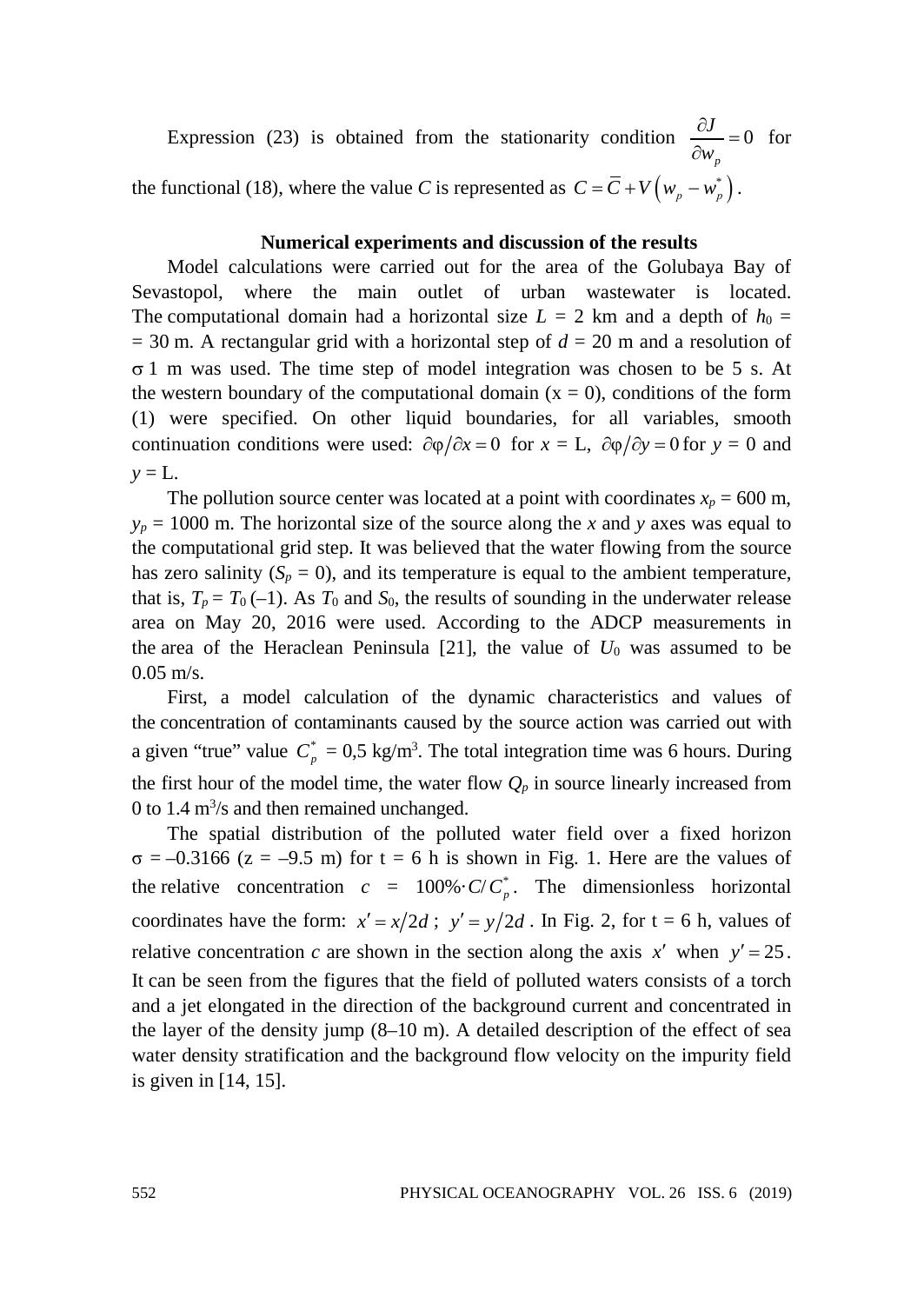Expression (23) is obtained from the stationarity condition  $\frac{\partial J}{\partial z} = 0$ *p*  $\frac{\partial J}{\partial w_p} = 0$  for the functional (18), where the value *C* is represented as  $C = \overline{C} + V(w_n - w_n)$ .

# **Numerical experiments and discussion of the results**

Model calculations were carried out for the area of the Golubaya Bay of Sevastopol, where the main outlet of urban wastewater is located. The computational domain had a horizontal size  $L = 2$  km and a depth of  $h_0 =$  $= 30$  m. A rectangular grid with a horizontal step of  $d = 20$  m and a resolution of σ 1 m was used. The time step of model integration was chosen to be 5 s. At the western boundary of the computational domain  $(x = 0)$ , conditions of the form (1) were specified. On other liquid boundaries, for all variables, smooth continuation conditions were used:  $\frac{\partial \varphi}{\partial x} = 0$  for  $x = L$ ,  $\frac{\partial \varphi}{\partial y} = 0$  for  $y = 0$  and  $y = L$ .

The pollution source center was located at a point with coordinates  $x_p = 600$  m,  $y_p = 1000$  m. The horizontal size of the source along the *x* and *y* axes was equal to the computational grid step. It was believed that the water flowing from the source has zero salinity  $(S_p = 0)$ , and its temperature is equal to the ambient temperature, that is,  $T_p = T_0(-1)$ . As  $T_0$  and  $S_0$ , the results of sounding in the underwater release area on May 20, 2016 were used. According to the ADCP measurements in the area of the Heraclean Peninsula  $[21]$ , the value of  $U_0$  was assumed to be 0.05 m/s.

First, a model calculation of the dynamic characteristics and values of the concentration of contaminants caused by the source action was carried out with a given "true" value  $C_p^* = 0.5 \text{ kg/m}^3$ . The total integration time was 6 hours. During the first hour of the model time, the water flow  $Q_p$  in source linearly increased from 0 to 1.4  $\text{m}^3$ /s and then remained unchanged.

The spatial distribution of the polluted water field over a fixed horizon  $\sigma = -0.3166$  (z = -9.5 m) for t = 6 h is shown in Fig. 1. Here are the values of the relative concentration  $c = 100\% \cdot C/C_p^*$ . The dimensionless horizontal coordinates have the form:  $x' = x/2d$ ;  $y' = y/2d$ . In Fig. 2, for  $t = 6$  h, values of relative concentration *c* are shown in the section along the axis  $x'$  when  $y' = 25$ . It can be seen from the figures that the field of polluted waters consists of a torch and a jet elongated in the direction of the background current and concentrated in the layer of the density jump  $(8-10 \text{ m})$ . A detailed description of the effect of sea water density stratification and the background flow velocity on the impurity field is given in [14, 15].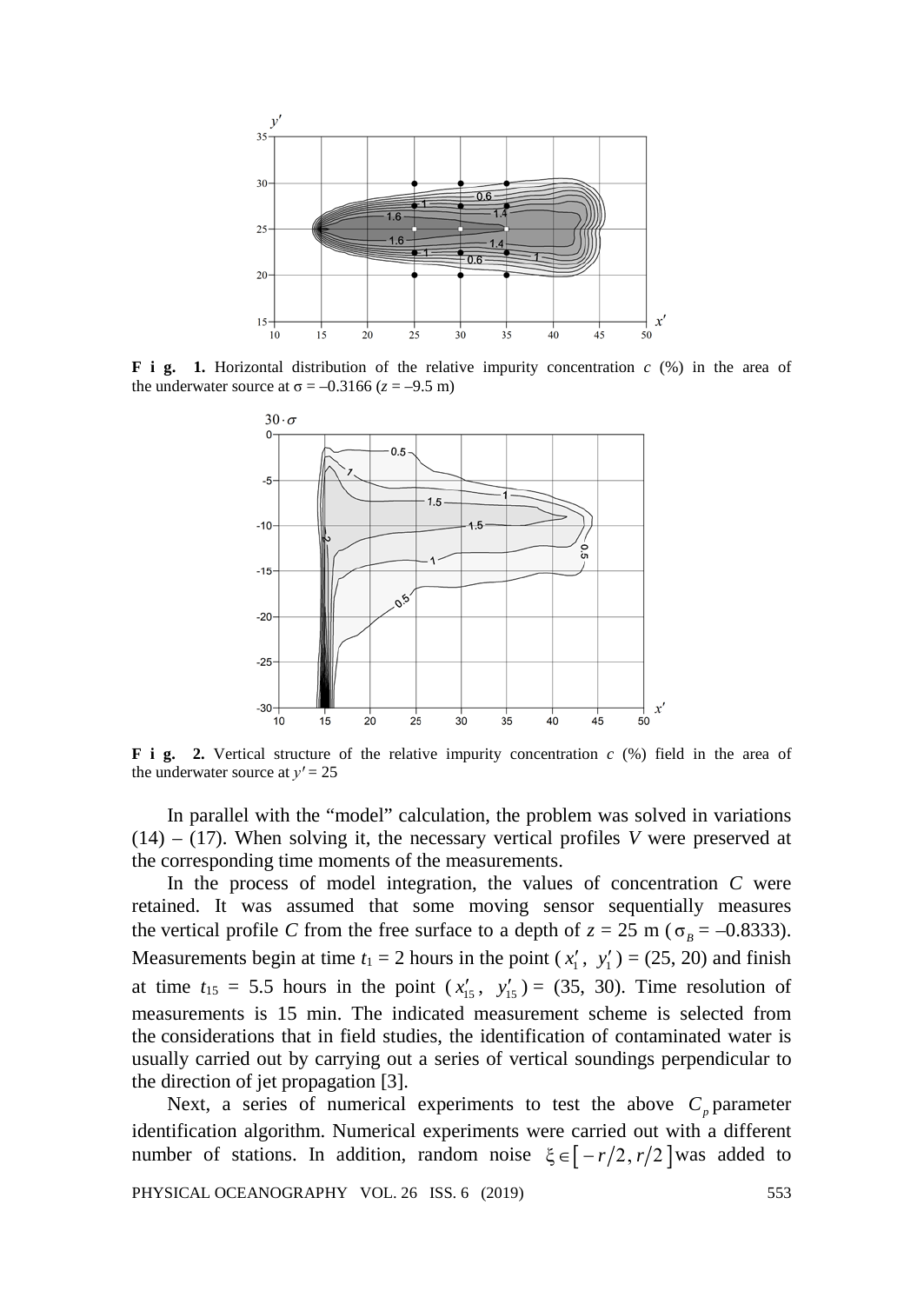

**F i g. 1.** Horizontal distribution of the relative impurity concentration *c* (%) in the area of the underwater source at  $\sigma = -0.3166$  ( $z = -9.5$  m)



**F i g. 2.** Vertical structure of the relative impurity concentration *c* (%) field in the area of the underwater source at  $v' = 25$ 

In parallel with the "model" calculation, the problem was solved in variations (14) – (17). When solving it, the necessary vertical profiles *V* were preserved at the corresponding time moments of the measurements.

In the process of model integration, the values of concentration *C* were retained. It was assumed that some moving sensor sequentially measures the vertical profile *C* from the free surface to a depth of  $z = 25$  m ( $\sigma_B = -0.8333$ ). Measurements begin at time  $t_1 = 2$  hours in the point  $(x'_1, y'_1) = (25, 20)$  and finish at time  $t_{15} = 5.5$  hours in the point  $(x'_{15}, y'_{15}) = (35, 30)$ . Time resolution of measurements is 15 min. The indicated measurement scheme is selected from the considerations that in field studies, the identification of contaminated water is usually carried out by carrying out a series of vertical soundings perpendicular to the direction of jet propagation [3].

Next, a series of numerical experiments to test the above  $C_p$  parameter identification algorithm. Numerical experiments were carried out with a different number of stations. In addition, random noise  $\xi \in [-r/2, r/2]$  was added to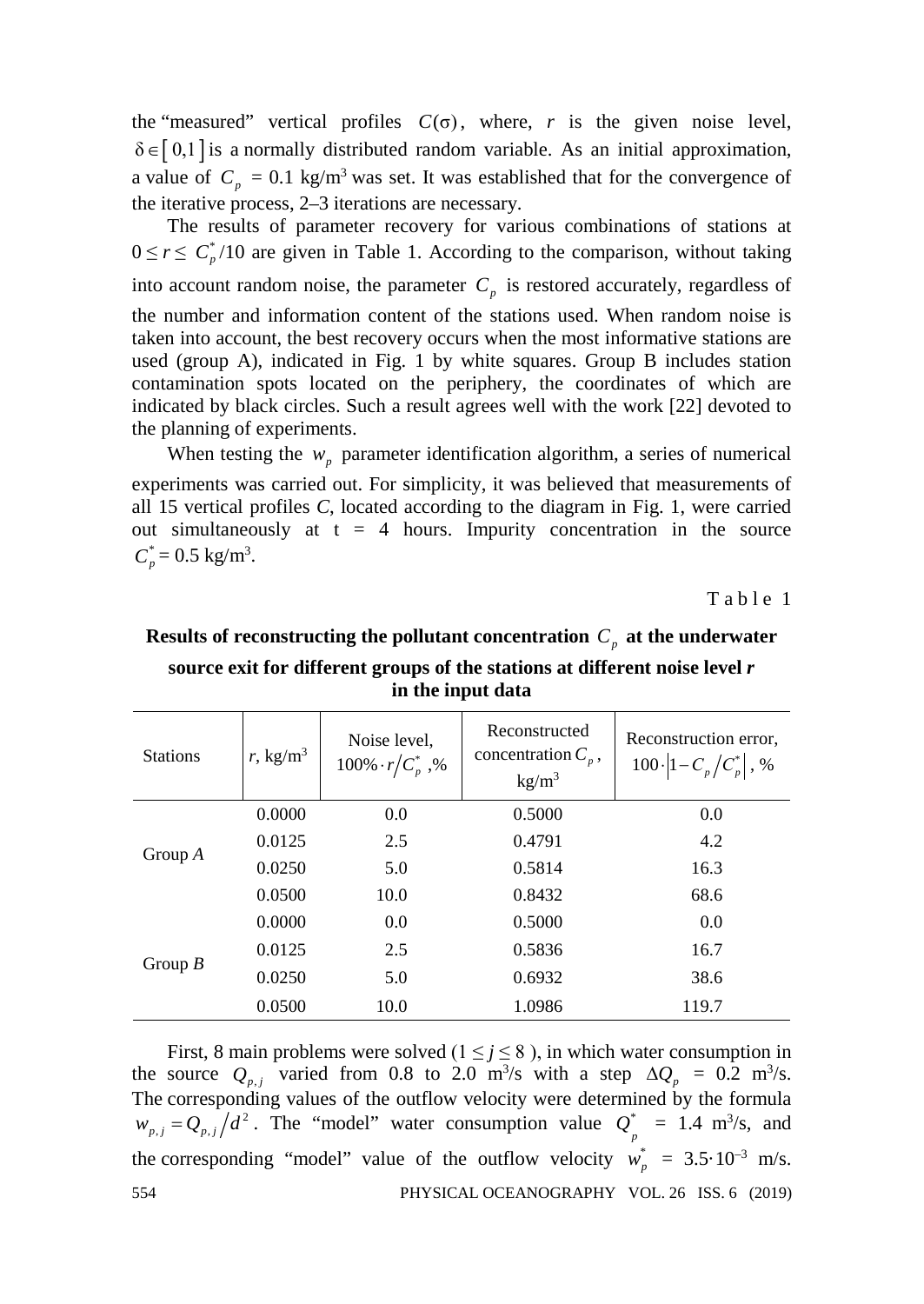the "measured" vertical profiles  $C(\sigma)$ , where, *r* is the given noise level,  $\delta \in [0,1]$  is a normally distributed random variable. As an initial approximation, a value of  $C_p = 0.1 \text{ kg/m}^3$  was set. It was established that for the convergence of the iterative process, 2–3 iterations are necessary.

The results of parameter recovery for various combinations of stations at  $0 \le r \le C_p^* / 10$  are given in Table 1. According to the comparison, without taking into account random noise, the parameter  $C_p$  is restored accurately, regardless of the number and information content of the stations used. When random noise is taken into account, the best recovery occurs when the most informative stations are used (group A), indicated in Fig. 1 by white squares. Group B includes station contamination spots located on the periphery, the coordinates of which are indicated by black circles. Such a result agrees well with the work [22] devoted to the planning of experiments.

When testing the  $w_p$  parameter identification algorithm, a series of numerical experiments was carried out. For simplicity, it was believed that measurements of all 15 vertical profiles *C*, located according to the diagram in Fig. 1, were carried out simultaneously at  $t = 4$  hours. Impurity concentration in the source  $C_p^* = 0.5$  kg/m<sup>3</sup>.

Table 1

| л.              |                    |                                          |                                                           |                                                          |  |
|-----------------|--------------------|------------------------------------------|-----------------------------------------------------------|----------------------------------------------------------|--|
| <b>Stations</b> | $r, \text{kg/m}^3$ | Noise level,<br>$100\% \cdot r/C_n^*$ ,% | Reconstructed<br>concentration $C_n$ ,<br>$\text{kg/m}^3$ | Reconstruction error.<br>$100 \cdot  1 - C_p/C_p^* $ , % |  |
| Group $A$       | 0.0000             | 0.0                                      | 0.5000                                                    | 0.0                                                      |  |
|                 | 0.0125             | 2.5                                      | 0.4791                                                    | 4.2                                                      |  |
|                 | 0.0250             | 5.0                                      | 0.5814                                                    | 16.3                                                     |  |
|                 | 0.0500             | 10.0                                     | 0.8432                                                    | 68.6                                                     |  |
| Group $B$       | 0.0000             | 0.0                                      | 0.5000                                                    | 0.0                                                      |  |
|                 | 0.0125             | 2.5                                      | 0.5836                                                    | 16.7                                                     |  |
|                 | 0.0250             | 5.0                                      | 0.6932                                                    | 38.6                                                     |  |
|                 | 0.0500             | 10.0                                     | 1.0986                                                    | 119.7                                                    |  |

**Results of reconstructing the pollutant concentration**  $C_p$  at the underwater **source exit for different groups of the stations at different noise level** *r* **in the input data**

First, 8 main problems were solved  $(1 \le j \le 8)$ , in which water consumption in the source  $Q_{p,j}$  varied from 0.8 to 2.0 m<sup>3</sup>/s with a step  $\Delta Q_p = 0.2$  m<sup>3</sup>/s. The corresponding values of the outflow velocity were determined by the formula  $w_{p,j} = Q_{p,j}/d^2$ . The "model" water consumption value  $Q_p^* = 1.4 \text{ m}^3/\text{s}$ , and the corresponding "model" value of the outflow velocity  $w_p^* = 3.5 \cdot 10^{-3}$  m/s. 554 PHYSICAL OCEANOGRAPHY VOL. 26 ISS. 6 (2019)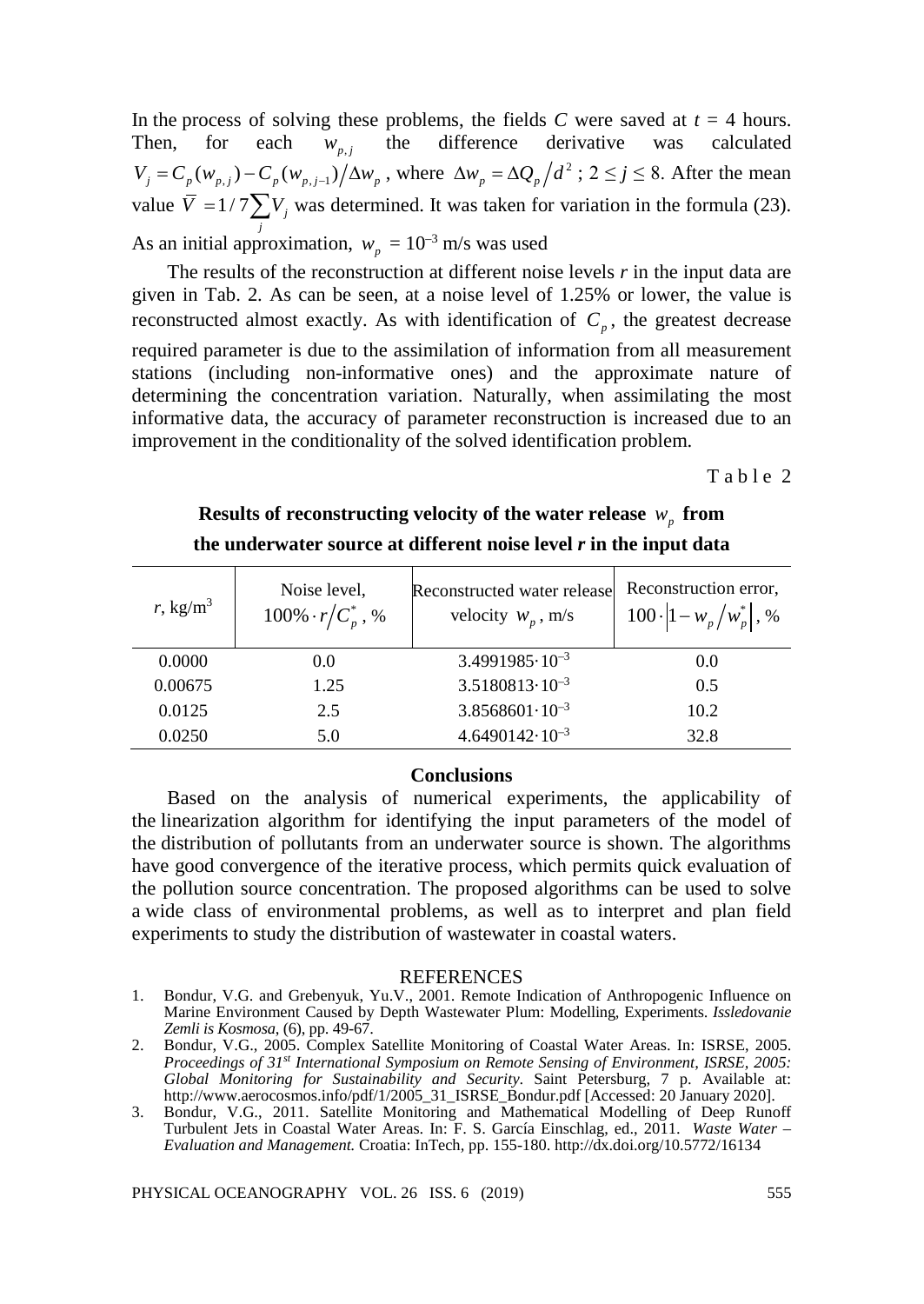In the process of solving these problems, the fields *C* were saved at  $t = 4$  hours.<br>Then, for each  $w_{n,i}$  the difference derivative was calculated Then, for each  $w_{p,j}$  the difference derivative was calculated  $V_i = C_p(w_{p,i}) - C_p(w_{p,i-1})/\Delta w_p$ , where  $\Delta w_p = \Delta Q_p/d^2$ ;  $2 \le j \le 8$ . After the mean value  $\overline{V} = 1/7 \sum V_j$  was determined. It was taken for variation in the formula (23). As an initial approximation,  $w_p = 10^{-3}$  m/s was used

The results of the reconstruction at different noise levels *r* in the input data are given in Tab. 2. As can be seen, at a noise level of 1.25% or lower, the value is reconstructed almost exactly. As with identification of  $C_p$ , the greatest decrease required parameter is due to the assimilation of information from all measurement stations (including non-informative ones) and the approximate nature of determining the concentration variation. Naturally, when assimilating the most informative data, the accuracy of parameter reconstruction is increased due to an improvement in the conditionality of the solved identification problem.

Table 2

| r, kg/m <sup>3</sup> | Noise level,<br>$100\% \cdot r/C_p^*$ , % | Reconstructed water release<br>velocity $W_p$ , m/s | Reconstruction error,<br>$100 \cdot  1 - w_p/w_p^* $ , % |
|----------------------|-------------------------------------------|-----------------------------------------------------|----------------------------------------------------------|
| 0.0000               | 0.0                                       | $3.4991985 \cdot 10^{-3}$                           | 0.0                                                      |
| 0.00675              | 1.25                                      | $3.5180813 \cdot 10^{-3}$                           | 0.5                                                      |
| 0.0125               | 2.5                                       | $3.8568601 \cdot 10^{-3}$                           | 10.2                                                     |
| 0.0250               | 5.0                                       | $4.6490142 \cdot 10^{-3}$                           | 32.8                                                     |

# **Results of reconstructing velocity of the water release**  $w_p$  from **the underwater source at different noise level** *r* **in the input data**

## **Conclusions**

Based on the analysis of numerical experiments, the applicability of the linearization algorithm for identifying the input parameters of the model of the distribution of pollutants from an underwater source is shown. The algorithms have good convergence of the iterative process, which permits quick evaluation of the pollution source concentration. The proposed algorithms can be used to solve a wide class of environmental problems, as well as to interpret and plan field experiments to study the distribution of wastewater in coastal waters.

#### REFERENCES

<sup>1.</sup> Bondur, V.G. and Grebenyuk, Yu.V., 2001. Remote Indication of Anthropogenic Influence on Marine Environment Caused by Depth Wastewater Plum: Modelling, Experiments. *Issledovanie Zemli is Kosmosa*, (6), pp. 49-67.

<sup>2.</sup> Bondur, V.G., 2005. Complex Satellite Monitoring of Coastal Water Areas. In: ISRSE, 2005. *Proceedings of 31st International Symposium on Remote Sensing of Environment, ISRSE, 2005: Global Monitoring for Sustainability and Security*. Saint Petersburg, 7 p. Available at: http://www.aerocosmos.info/pdf/1/2005\_31\_ISRSE\_Bondur.pdf [Accessed: 20 January 2020].

<sup>3.</sup> Bondur, V.G., 2011. Satellite Monitoring and Mathematical Modelling of Deep Runoff Turbulent Jets in Coastal Water Areas. In: F. S. García Einschlag, ed., 2011. *Waste Water – Evaluation and Management.* Croatia: InTech*,* pp. 155-180.<http://dx.doi.org/10.5772/16134>